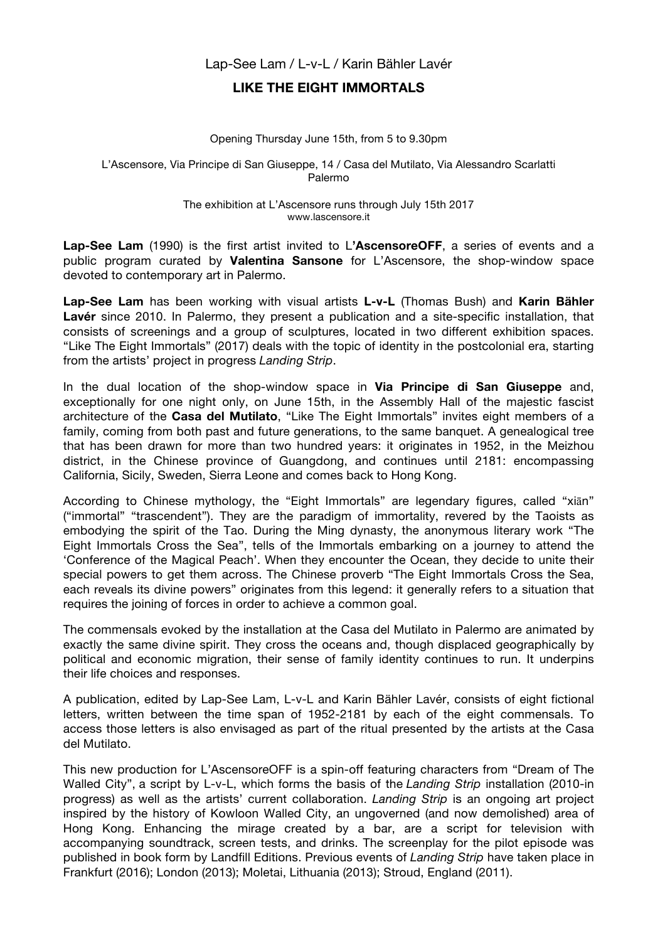## Lap-See Lam / L-v-L / Karin Bähler Lavér

## **LIKE THE EIGHT IMMORTALS**

## Opening Thursday June 15th, from 5 to 9.30pm

L'Ascensore, Via Principe di San Giuseppe, 14 / Casa del Mutilato, Via Alessandro Scarlatti Palermo

> The exhibition at L'Ascensore runs through July 15th 2017 www.lascensore.it

**Lap-See Lam** (1990) is the first artist invited to L**'AscensoreOFF**, a series of events and a public program curated by **Valentina Sansone** for L'Ascensore, the shop-window space devoted to contemporary art in Palermo.

**Lap-See Lam** has been working with visual artists **L-v-L** (Thomas Bush) and **Karin Bähler Lavér** since 2010. In Palermo, they present a publication and a site-specific installation, that consists of screenings and a group of sculptures, located in two different exhibition spaces. "Like The Eight Immortals" (2017) deals with the topic of identity in the postcolonial era, starting from the artists' project in progress *Landing Strip*.

In the dual location of the shop-window space in **Via Principe di San Giuseppe** and, exceptionally for one night only, on June 15th, in the Assembly Hall of the majestic fascist architecture of the **Casa del Mutilato**, "Like The Eight Immortals" invites eight members of a family, coming from both past and future generations, to the same banquet. A genealogical tree that has been drawn for more than two hundred years: it originates in 1952, in the Meizhou district, in the Chinese province of Guangdong, and continues until 2181: encompassing California, Sicily, Sweden, Sierra Leone and comes back to Hong Kong.

According to Chinese mythology, the "Eight Immortals" are legendary figures, called "xiān" ("immortal" "trascendent"). They are the paradigm of immortality, revered by the Taoists as embodying the spirit of the Tao. During the Ming dynasty, the anonymous literary work "The Eight Immortals Cross the Sea", tells of the Immortals embarking on a journey to attend the 'Conference of the Magical Peach'. When they encounter the Ocean, they decide to unite their special powers to get them across. The Chinese proverb "The Eight Immortals Cross the Sea, each reveals its divine powers" originates from this legend: it generally refers to a situation that requires the joining of forces in order to achieve a common goal.

The commensals evoked by the installation at the Casa del Mutilato in Palermo are animated by exactly the same divine spirit. They cross the oceans and, though displaced geographically by political and economic migration, their sense of family identity continues to run. It underpins their life choices and responses.

A publication, edited by Lap-See Lam, L-v-L and Karin Bähler Lavér, consists of eight fictional letters, written between the time span of 1952-2181 by each of the eight commensals. To access those letters is also envisaged as part of the ritual presented by the artists at the Casa del Mutilato.

This new production for L'AscensoreOFF is a spin-off featuring characters from "Dream of The Walled City", a script by L-v-L, which forms the basis of the *Landing Strip* installation (2010-in progress) as well as the artists' current collaboration. *Landing Strip* is an ongoing art project inspired by the history of Kowloon Walled City, an ungoverned (and now demolished) area of Hong Kong. Enhancing the mirage created by a bar, are a script for television with accompanying soundtrack, screen tests, and drinks. The screenplay for the pilot episode was published in book form by Landfill Editions. Previous events of *Landing Strip* have taken place in Frankfurt (2016); London (2013); Moletai, Lithuania (2013); Stroud, England (2011).